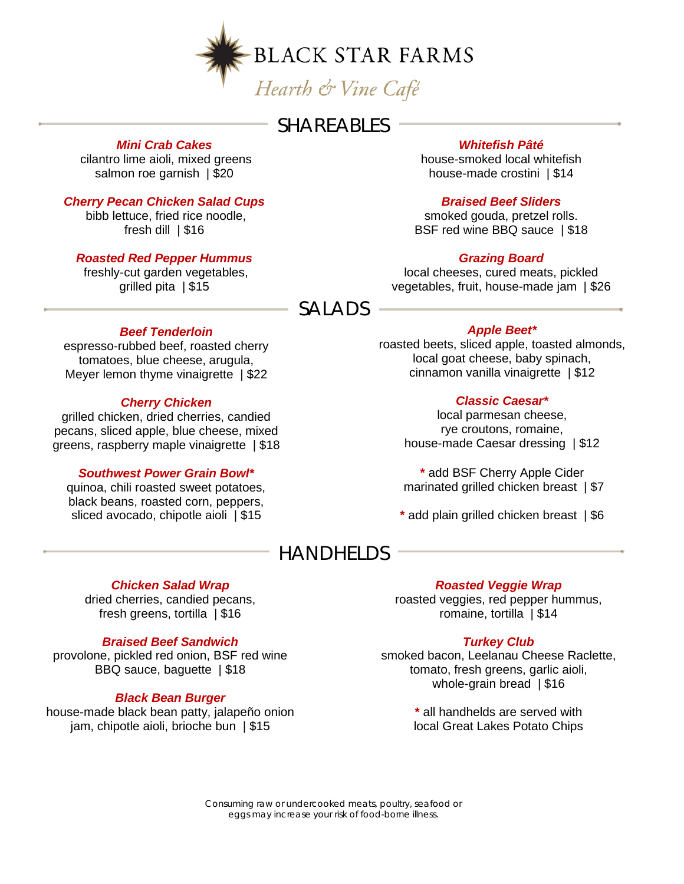

## **SHAREABLES**

#### *Mini Crab Cakes*

cilantro lime aioli, mixed greens salmon roe garnish | \$20

#### *Cherry Pecan Chicken Salad Cups*

bibb lettuce, fried rice noodle, fresh dill | \$16

#### *Roasted Red Pepper Hummus*

freshly-cut garden vegetables, grilled pita | \$15

#### *Whitefish Pâté*

house-smoked local whitefish house-made crostini | \$14

#### *Braised Beef Sliders*

smoked gouda, pretzel rolls. BSF red wine BBQ sauce | \$18

#### *Grazing Board*

local cheeses, cured meats, pickled vegetables, fruit, house-made jam | \$26

### SALADS

#### *Beef Tenderloin*

espresso-rubbed beef, roasted cherry tomatoes, blue cheese, arugula, Meyer lemon thyme vinaigrette | \$22

#### *Cherry Chicken*

grilled chicken, dried cherries, candied pecans, sliced apple, blue cheese, mixed greens, raspberry maple vinaigrette | \$18

#### *Southwest Power Grain Bowl\**

quinoa, chili roasted sweet potatoes, black beans, roasted corn, peppers, sliced avocado, chipotle aioli | \$15

#### *Apple Beet\**

roasted beets, sliced apple, toasted almonds, local goat cheese, baby spinach, cinnamon vanilla vinaigrette | \$12

#### *Classic Caesar\**

local parmesan cheese, rye croutons, romaine, house-made Caesar dressing | \$12

**\*** add BSF Cherry Apple Cider marinated grilled chicken breast | \$7

**\*** add plain grilled chicken breast | \$6

## HANDHELDS

#### *Chicken Salad Wrap*

dried cherries, candied pecans, fresh greens, tortilla | \$16

#### *Braised Beef Sandwich*

provolone, pickled red onion, BSF red wine BBQ sauce, baguette | \$18

#### *Black Bean Burger*

house-made black bean patty, jalapeño onion jam, chipotle aioli, brioche bun | \$15

#### *Roasted Veggie Wrap*

roasted veggies, red pepper hummus, romaine, tortilla | \$14

#### *Turkey Club*

smoked bacon, Leelanau Cheese Raclette, tomato, fresh greens, garlic aioli, whole-grain bread | \$16

> **\*** all handhelds are served with local Great Lakes Potato Chips

*Consuming raw or undercooked meats, poultry, seafood or eggs may increase your risk of food-borne illness.*